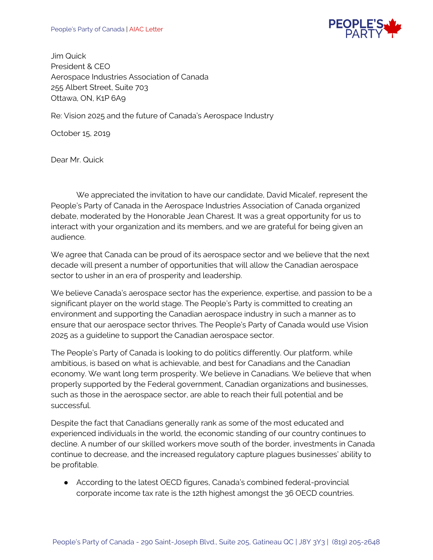

Jim Quick President & CEO Aerospace Industries Association of Canada 255 Albert Street, Suite 703 Ottawa, ON, K1P 6A9

Re: Vision 2025 and the future of Canada's Aerospace Industry

October 15, 2019

Dear Mr. Quick

We appreciated the invitation to have our candidate, David Micalef, represent the People's Party of Canada in the Aerospace Industries Association of Canada organized debate, moderated by the Honorable Jean Charest. It was a great opportunity for us to interact with your organization and its members, and we are grateful for being given an audience.

We agree that Canada can be proud of its aerospace sector and we believe that the next decade will present a number of opportunities that will allow the Canadian aerospace sector to usher in an era of prosperity and leadership.

We believe Canada's aerospace sector has the experience, expertise, and passion to be a significant player on the world stage. The People's Party is committed to creating an environment and supporting the Canadian aerospace industry in such a manner as to ensure that our aerospace sector thrives. The People's Party of Canada would use Vision 2025 as a guideline to support the Canadian aerospace sector.

The People's Party of Canada is looking to do politics differently. Our platform, while ambitious, is based on what is achievable, and best for Canadians and the Canadian economy. We want long term prosperity. We believe in Canadians. We believe that when properly supported by the Federal government, Canadian organizations and businesses, such as those in the aerospace sector, are able to reach their full potential and be successful.

Despite the fact that Canadians generally rank as some of the most educated and experienced individuals in the world, the economic standing of our country continues to decline. A number of our skilled workers move south of the border, investments in Canada continue to decrease, and the increased regulatory capture plagues businesses' ability to be profitable.

● According to the latest OECD figures, Canada's combined federal-provincial corporate income tax rate is the 12th highest amongst the 36 OECD countries.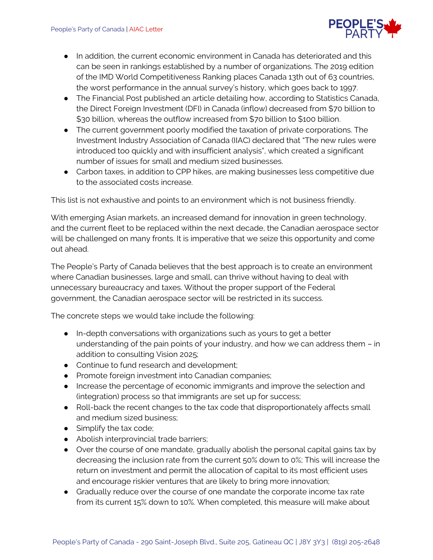

- In addition, the current economic environment in Canada has deteriorated and this can be seen in rankings established by a number of organizations. The [2019 edition](https://www.imd.org/wcc/world-competitiveness-center-rankings/world-competitiveness-ranking-2019/)  [of the IMD World Competitiveness Ranking](https://www.imd.org/wcc/world-competitiveness-center-rankings/world-competitiveness-ranking-2019/) places Canada 13th out of 63 countries, the worst performance in the annual survey's history, which goes back to 1997.
- The Financial Post published an article detailing how, according to Statistics Canada, the Direct Foreign Investment (DFI) in Canada (inflow) decreased from \$70 billion to \$30 billion, whereas the outflow increased from \$70 billion to \$100 billion.
- The current government poorly modified the taxation of private corporations. The Investment Industry Association of Canada (IIAC) declared that "The new rules were introduced too quickly and with insufficient analysis", which created a significant number of issues for small and medium sized businesses.
- Carbon taxes, in addition to CPP hikes, are making businesses less competitive due to the associated costs increase.

This list is not exhaustive and points to an environment which is not business friendly.

With emerging Asian markets, an increased demand for innovation in green technology, and the current fleet to be replaced within the next decade, the Canadian aerospace sector will be challenged on many fronts. It is imperative that we seize this opportunity and come out ahead.

The People's Party of Canada believes that the best approach is to create an environment where Canadian businesses, large and small, can thrive without having to deal with unnecessary bureaucracy and taxes. Without the proper support of the Federal government, the Canadian aerospace sector will be restricted in its success.

The concrete steps we would take include the following:

- In-depth conversations with organizations such as yours to get a better understanding of the pain points of your industry, and how we can address them – in addition to consulting Vision 2025;
- Continue to fund research and development;
- Promote foreign investment into Canadian companies;
- Increase the percentage of economic immigrants and improve the selection and (integration) process so that immigrants are set up for success;
- Roll-back the recent changes to the tax code that disproportionately affects small and medium sized business;
- $\bullet$  Simplify the tax code;
- Abolish interprovincial trade barriers;
- Over the course of one mandate, gradually abolish the personal capital gains tax by decreasing the inclusion rate from the current 50% down to 0%; This will increase the return on investment and permit the allocation of capital to its most efficient uses and encourage riskier ventures that are likely to bring more innovation;
- Gradually reduce over the course of one mandate the corporate income tax rate from its current 15% down to 10%. When completed, this measure will make about